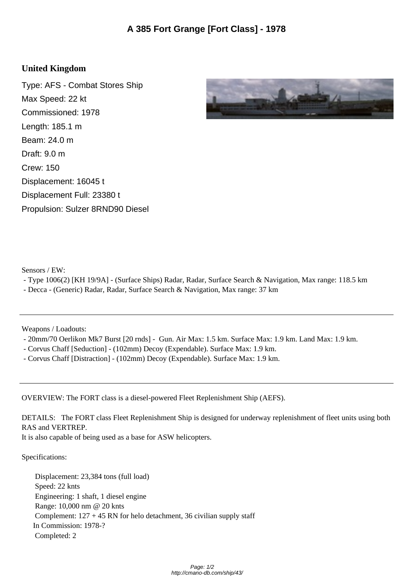## **United Kingdom**

Type: AFS - Combat Stores Ship Max Speed: 22 kt Commissioned: 1978 Length: 185.1 m Beam: 24.0 m Draft: 9.0 m Crew: 150 Displacement: 16045 t Displacement Full: 23380 t Propulsion: Sulzer 8RND90 Diesel



Sensors / EW:

- Type 1006(2) [KH 19/9A] - (Surface Ships) Radar, Radar, Surface Search & Navigation, Max range: 118.5 km

- Decca - (Generic) Radar, Radar, Surface Search & Navigation, Max range: 37 km

Weapons / Loadouts:

- 20mm/70 Oerlikon Mk7 Burst [20 rnds] - Gun. Air Max: 1.5 km. Surface Max: 1.9 km. Land Max: 1.9 km.

- Corvus Chaff [Seduction] - (102mm) Decoy (Expendable). Surface Max: 1.9 km.

- Corvus Chaff [Distraction] - (102mm) Decoy (Expendable). Surface Max: 1.9 km.

OVERVIEW: The FORT class is a diesel-powered Fleet Replenishment Ship (AEFS).

DETAILS: The FORT class Fleet Replenishment Ship is designed for underway replenishment of fleet units using both RAS and VERTREP.

It is also capable of being used as a base for ASW helicopters.

Specifications:

 Displacement: 23,384 tons (full load) Speed: 22 knts Engineering: 1 shaft, 1 diesel engine Range: 10,000 nm @ 20 knts Complement:  $127 + 45$  RN for helo detachment, 36 civilian supply staff In Commission: 1978-? Completed: 2